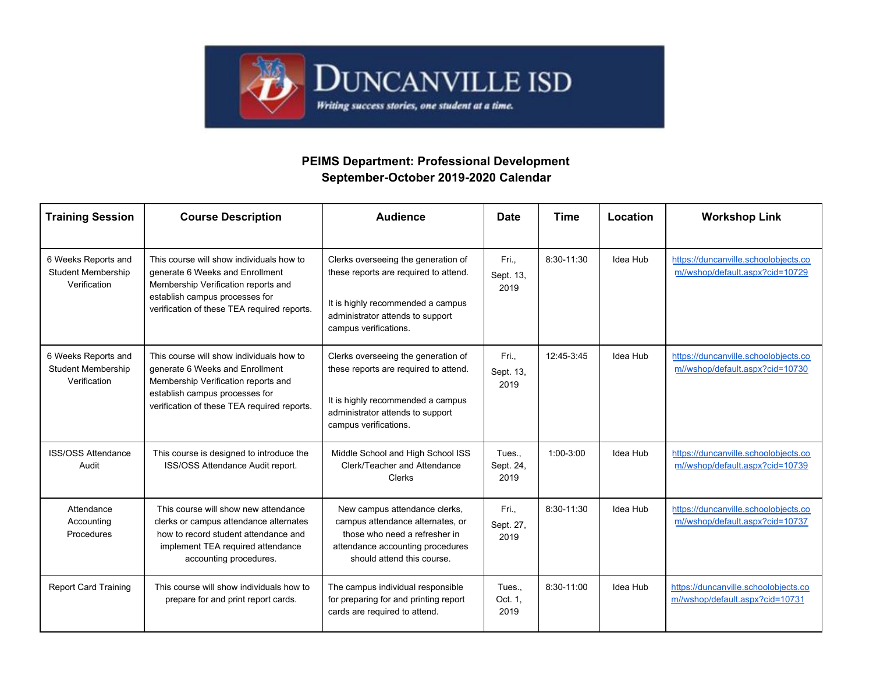

## **PEIMS Department: Professional Development September-October 2019-2020 Calendar**

| <b>Training Session</b>                                          | <b>Course Description</b>                                                                                                                                                                           | <b>Audience</b>                                                                                                                                                                | <b>Date</b>                 | <b>Time</b>  | Location | <b>Workshop Link</b>                                                    |
|------------------------------------------------------------------|-----------------------------------------------------------------------------------------------------------------------------------------------------------------------------------------------------|--------------------------------------------------------------------------------------------------------------------------------------------------------------------------------|-----------------------------|--------------|----------|-------------------------------------------------------------------------|
| 6 Weeks Reports and<br>Student Membership<br>Verification        | This course will show individuals how to<br>generate 6 Weeks and Enrollment<br>Membership Verification reports and<br>establish campus processes for<br>verification of these TEA required reports. | Clerks overseeing the generation of<br>these reports are required to attend.<br>It is highly recommended a campus<br>administrator attends to support<br>campus verifications. | Fri.,<br>Sept. 13,<br>2019  | 8:30-11:30   | Idea Hub | https://duncanville.schoolobjects.co<br>m//wshop/default.aspx?cid=10729 |
| 6 Weeks Reports and<br><b>Student Membership</b><br>Verification | This course will show individuals how to<br>generate 6 Weeks and Enrollment<br>Membership Verification reports and<br>establish campus processes for<br>verification of these TEA required reports. | Clerks overseeing the generation of<br>these reports are required to attend.<br>It is highly recommended a campus<br>administrator attends to support<br>campus verifications. | Fri.,<br>Sept. 13,<br>2019  | 12:45-3:45   | Idea Hub | https://duncanville.schoolobjects.co<br>m//wshop/default.aspx?cid=10730 |
| <b>ISS/OSS Attendance</b><br>Audit                               | This course is designed to introduce the<br>ISS/OSS Attendance Audit report.                                                                                                                        | Middle School and High School ISS<br>Clerk/Teacher and Attendance<br><b>Clerks</b>                                                                                             | Tues.,<br>Sept. 24,<br>2019 | $1:00-3:00$  | Idea Hub | https://duncanville.schoolobjects.co<br>m//wshop/default.aspx?cid=10739 |
| Attendance<br>Accounting<br>Procedures                           | This course will show new attendance<br>clerks or campus attendance alternates<br>how to record student attendance and<br>implement TEA required attendance<br>accounting procedures.               | New campus attendance clerks,<br>campus attendance alternates, or<br>those who need a refresher in<br>attendance accounting procedures<br>should attend this course.           | Fri.,<br>Sept. 27,<br>2019  | $8:30-11:30$ | Idea Hub | https://duncanville.schoolobjects.co<br>m//wshop/default.aspx?cid=10737 |
| <b>Report Card Training</b>                                      | This course will show individuals how to<br>prepare for and print report cards.                                                                                                                     | The campus individual responsible<br>for preparing for and printing report<br>cards are required to attend.                                                                    | Tues<br>Oct. 1,<br>2019     | 8:30-11:00   | Idea Hub | https://duncanville.schoolobjects.co<br>m//wshop/default.aspx?cid=10731 |